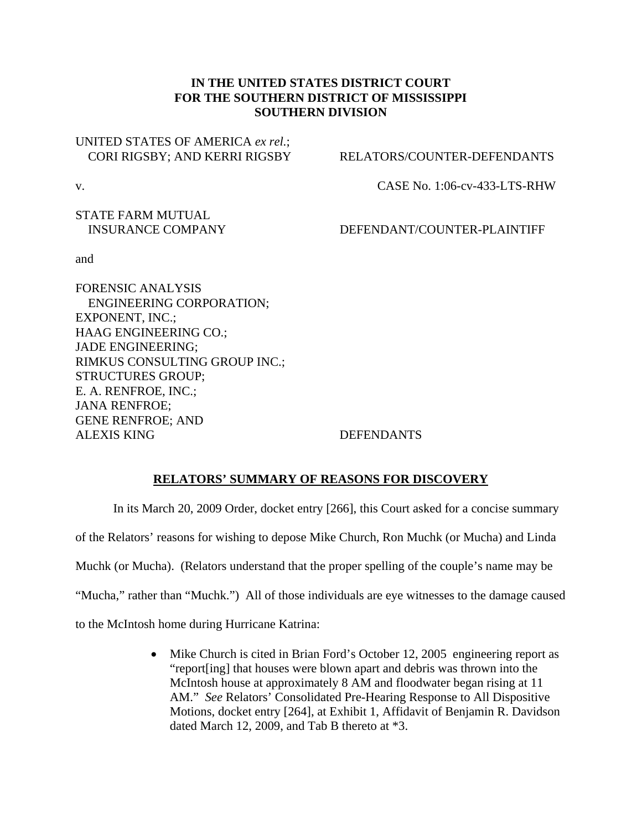### **IN THE UNITED STATES DISTRICT COURT FOR THE SOUTHERN DISTRICT OF MISSISSIPPI SOUTHERN DIVISION**

# UNITED STATES OF AMERICA *ex rel.*;

CORI RIGSBY; AND KERRI RIGSBY RELATORS/COUNTER-DEFENDANTS

v. CASE No. 1:06-cv-433-LTS-RHW

# STATE FARM MUTUAL

INSURANCE COMPANY DEFENDANT/COUNTER-PLAINTIFF

and

FORENSIC ANALYSIS ENGINEERING CORPORATION; EXPONENT, INC.; HAAG ENGINEERING CO.; JADE ENGINEERING; RIMKUS CONSULTING GROUP INC.; STRUCTURES GROUP; E. A. RENFROE, INC.; JANA RENFROE; GENE RENFROE; AND ALEXIS KING DEFENDANTS

## **RELATORS' SUMMARY OF REASONS FOR DISCOVERY**

In its March 20, 2009 Order, docket entry [266], this Court asked for a concise summary

of the Relators' reasons for wishing to depose Mike Church, Ron Muchk (or Mucha) and Linda

Muchk (or Mucha). (Relators understand that the proper spelling of the couple's name may be

"Mucha," rather than "Muchk.") All of those individuals are eye witnesses to the damage caused

to the McIntosh home during Hurricane Katrina:

• Mike Church is cited in Brian Ford's October 12, 2005 engineering report as "report[ing] that houses were blown apart and debris was thrown into the McIntosh house at approximately 8 AM and floodwater began rising at 11 AM." *See* Relators' Consolidated Pre-Hearing Response to All Dispositive Motions, docket entry [264], at Exhibit 1, Affidavit of Benjamin R. Davidson dated March 12, 2009, and Tab B thereto at \*3.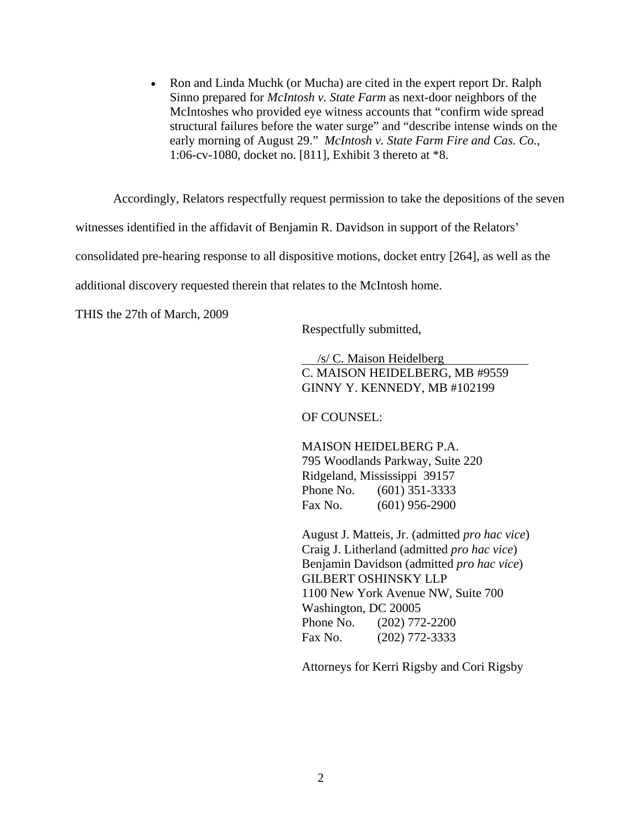• Ron and Linda Muchk (or Mucha) are cited in the expert report Dr. Ralph Sinno prepared for *McIntosh v. State Farm* as next-door neighbors of the McIntoshes who provided eye witness accounts that "confirm wide spread structural failures before the water surge" and "describe intense winds on the early morning of August 29." *McIntosh v. State Farm Fire and Cas. Co.*, 1:06-cv-1080, docket no. [811], Exhibit 3 thereto at \*8.

Accordingly, Relators respectfully request permission to take the depositions of the seven

witnesses identified in the affidavit of Benjamin R. Davidson in support of the Relators'

consolidated pre-hearing response to all dispositive motions, docket entry [264], as well as the

additional discovery requested therein that relates to the McIntosh home.

THIS the 27th of March, 2009

Respectfully submitted,

 /s/ C. Maison Heidelberg C. MAISON HEIDELBERG, MB #9559 GINNY Y. KENNEDY, MB #102199

OF COUNSEL:

 MAISON HEIDELBERG P.A. 795 Woodlands Parkway, Suite 220 Ridgeland, Mississippi 39157 Phone No. (601) 351-3333 Fax No. (601) 956-2900

 August J. Matteis, Jr. (admitted *pro hac vice*) Craig J. Litherland (admitted *pro hac vice*) Benjamin Davidson (admitted *pro hac vice*) GILBERT OSHINSKY LLP 1100 New York Avenue NW, Suite 700 Washington, DC 20005 Phone No. (202) 772-2200 Fax No. (202) 772-3333

Attorneys for Kerri Rigsby and Cori Rigsby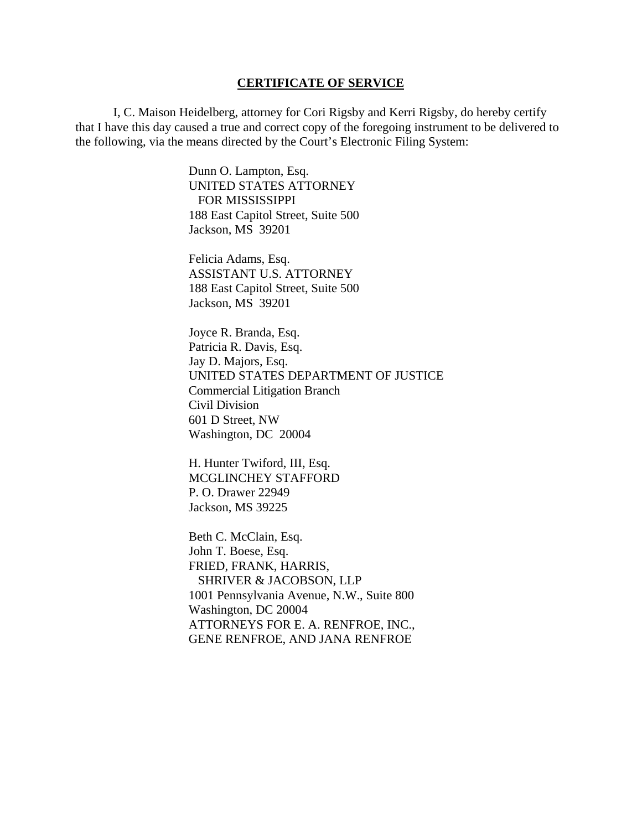### **CERTIFICATE OF SERVICE**

 I, C. Maison Heidelberg, attorney for Cori Rigsby and Kerri Rigsby, do hereby certify that I have this day caused a true and correct copy of the foregoing instrument to be delivered to the following, via the means directed by the Court's Electronic Filing System:

> Dunn O. Lampton, Esq. UNITED STATES ATTORNEY FOR MISSISSIPPI 188 East Capitol Street, Suite 500 Jackson, MS 39201

> Felicia Adams, Esq. ASSISTANT U.S. ATTORNEY 188 East Capitol Street, Suite 500 Jackson, MS 39201

Joyce R. Branda, Esq. Patricia R. Davis, Esq. Jay D. Majors, Esq. UNITED STATES DEPARTMENT OF JUSTICE Commercial Litigation Branch Civil Division 601 D Street, NW Washington, DC 20004

H. Hunter Twiford, III, Esq. MCGLINCHEY STAFFORD P. O. Drawer 22949 Jackson, MS 39225

Beth C. McClain, Esq. John T. Boese, Esq. FRIED, FRANK, HARRIS, SHRIVER & JACOBSON, LLP 1001 Pennsylvania Avenue, N.W., Suite 800 Washington, DC 20004 ATTORNEYS FOR E. A. RENFROE, INC., GENE RENFROE, AND JANA RENFROE